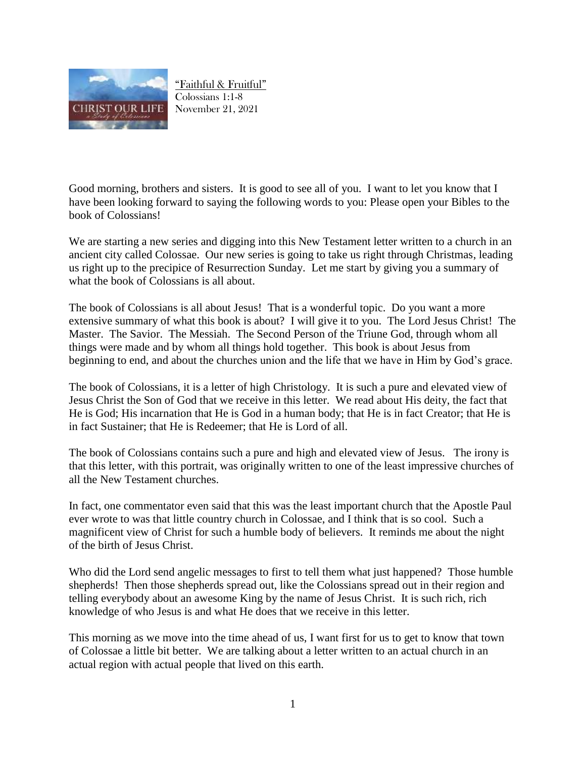

"Faithful & Fruitful" Colossians 1:1-8 November 21, 2021

Good morning, brothers and sisters. It is good to see all of you. I want to let you know that I have been looking forward to saying the following words to you: Please open your Bibles to the book of Colossians!

We are starting a new series and digging into this New Testament letter written to a church in an ancient city called Colossae. Our new series is going to take us right through Christmas, leading us right up to the precipice of Resurrection Sunday. Let me start by giving you a summary of what the book of Colossians is all about.

The book of Colossians is all about Jesus! That is a wonderful topic. Do you want a more extensive summary of what this book is about? I will give it to you. The Lord Jesus Christ! The Master. The Savior. The Messiah. The Second Person of the Triune God, through whom all things were made and by whom all things hold together. This book is about Jesus from beginning to end, and about the churches union and the life that we have in Him by God's grace.

The book of Colossians, it is a letter of high Christology. It is such a pure and elevated view of Jesus Christ the Son of God that we receive in this letter. We read about His deity, the fact that He is God; His incarnation that He is God in a human body; that He is in fact Creator; that He is in fact Sustainer; that He is Redeemer; that He is Lord of all.

The book of Colossians contains such a pure and high and elevated view of Jesus. The irony is that this letter, with this portrait, was originally written to one of the least impressive churches of all the New Testament churches.

In fact, one commentator even said that this was the least important church that the Apostle Paul ever wrote to was that little country church in Colossae, and I think that is so cool. Such a magnificent view of Christ for such a humble body of believers. It reminds me about the night of the birth of Jesus Christ.

Who did the Lord send angelic messages to first to tell them what just happened? Those humble shepherds! Then those shepherds spread out, like the Colossians spread out in their region and telling everybody about an awesome King by the name of Jesus Christ. It is such rich, rich knowledge of who Jesus is and what He does that we receive in this letter.

This morning as we move into the time ahead of us, I want first for us to get to know that town of Colossae a little bit better. We are talking about a letter written to an actual church in an actual region with actual people that lived on this earth.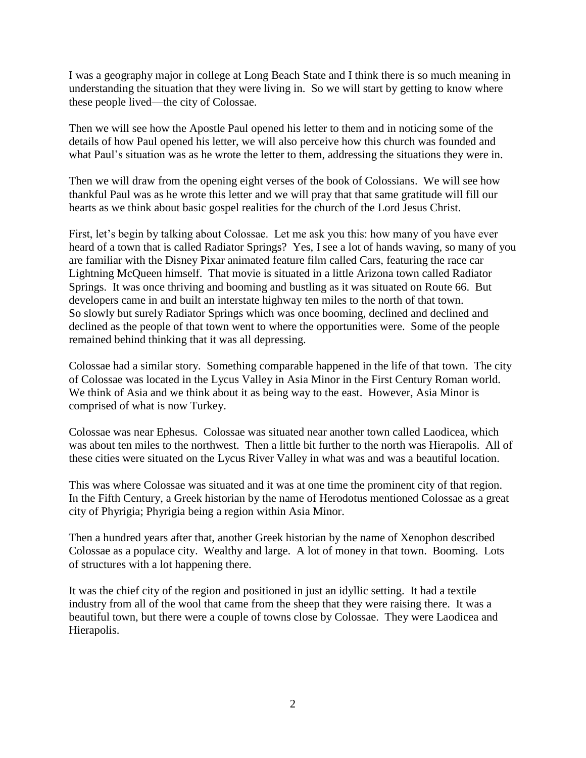I was a geography major in college at Long Beach State and I think there is so much meaning in understanding the situation that they were living in. So we will start by getting to know where these people lived—the city of Colossae.

Then we will see how the Apostle Paul opened his letter to them and in noticing some of the details of how Paul opened his letter, we will also perceive how this church was founded and what Paul's situation was as he wrote the letter to them, addressing the situations they were in.

Then we will draw from the opening eight verses of the book of Colossians. We will see how thankful Paul was as he wrote this letter and we will pray that that same gratitude will fill our hearts as we think about basic gospel realities for the church of the Lord Jesus Christ.

First, let's begin by talking about Colossae. Let me ask you this: how many of you have ever heard of a town that is called Radiator Springs? Yes, I see a lot of hands waving, so many of you are familiar with the Disney Pixar animated feature film called Cars, featuring the race car Lightning McQueen himself. That movie is situated in a little Arizona town called Radiator Springs. It was once thriving and booming and bustling as it was situated on Route 66. But developers came in and built an interstate highway ten miles to the north of that town. So slowly but surely Radiator Springs which was once booming, declined and declined and declined as the people of that town went to where the opportunities were. Some of the people remained behind thinking that it was all depressing.

Colossae had a similar story. Something comparable happened in the life of that town. The city of Colossae was located in the Lycus Valley in Asia Minor in the First Century Roman world. We think of Asia and we think about it as being way to the east. However, Asia Minor is comprised of what is now Turkey.

Colossae was near Ephesus. Colossae was situated near another town called Laodicea, which was about ten miles to the northwest. Then a little bit further to the north was Hierapolis. All of these cities were situated on the Lycus River Valley in what was and was a beautiful location.

This was where Colossae was situated and it was at one time the prominent city of that region. In the Fifth Century, a Greek historian by the name of Herodotus mentioned Colossae as a great city of Phyrigia; Phyrigia being a region within Asia Minor.

Then a hundred years after that, another Greek historian by the name of Xenophon described Colossae as a populace city. Wealthy and large. A lot of money in that town. Booming. Lots of structures with a lot happening there.

It was the chief city of the region and positioned in just an idyllic setting. It had a textile industry from all of the wool that came from the sheep that they were raising there. It was a beautiful town, but there were a couple of towns close by Colossae. They were Laodicea and Hierapolis.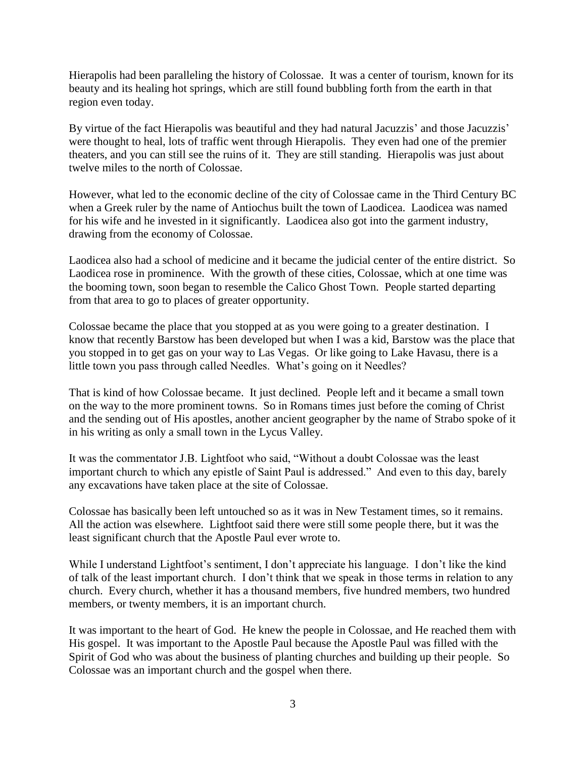Hierapolis had been paralleling the history of Colossae. It was a center of tourism, known for its beauty and its healing hot springs, which are still found bubbling forth from the earth in that region even today.

By virtue of the fact Hierapolis was beautiful and they had natural Jacuzzis' and those Jacuzzis' were thought to heal, lots of traffic went through Hierapolis. They even had one of the premier theaters, and you can still see the ruins of it. They are still standing. Hierapolis was just about twelve miles to the north of Colossae.

However, what led to the economic decline of the city of Colossae came in the Third Century BC when a Greek ruler by the name of Antiochus built the town of Laodicea. Laodicea was named for his wife and he invested in it significantly. Laodicea also got into the garment industry, drawing from the economy of Colossae.

Laodicea also had a school of medicine and it became the judicial center of the entire district. So Laodicea rose in prominence. With the growth of these cities, Colossae, which at one time was the booming town, soon began to resemble the Calico Ghost Town. People started departing from that area to go to places of greater opportunity.

Colossae became the place that you stopped at as you were going to a greater destination. I know that recently Barstow has been developed but when I was a kid, Barstow was the place that you stopped in to get gas on your way to Las Vegas. Or like going to Lake Havasu, there is a little town you pass through called Needles. What's going on it Needles?

That is kind of how Colossae became. It just declined. People left and it became a small town on the way to the more prominent towns. So in Romans times just before the coming of Christ and the sending out of His apostles, another ancient geographer by the name of Strabo spoke of it in his writing as only a small town in the Lycus Valley.

It was the commentator J.B. Lightfoot who said, "Without a doubt Colossae was the least important church to which any epistle of Saint Paul is addressed." And even to this day, barely any excavations have taken place at the site of Colossae.

Colossae has basically been left untouched so as it was in New Testament times, so it remains. All the action was elsewhere. Lightfoot said there were still some people there, but it was the least significant church that the Apostle Paul ever wrote to.

While I understand Lightfoot's sentiment, I don't appreciate his language. I don't like the kind of talk of the least important church. I don't think that we speak in those terms in relation to any church. Every church, whether it has a thousand members, five hundred members, two hundred members, or twenty members, it is an important church.

It was important to the heart of God. He knew the people in Colossae, and He reached them with His gospel. It was important to the Apostle Paul because the Apostle Paul was filled with the Spirit of God who was about the business of planting churches and building up their people. So Colossae was an important church and the gospel when there.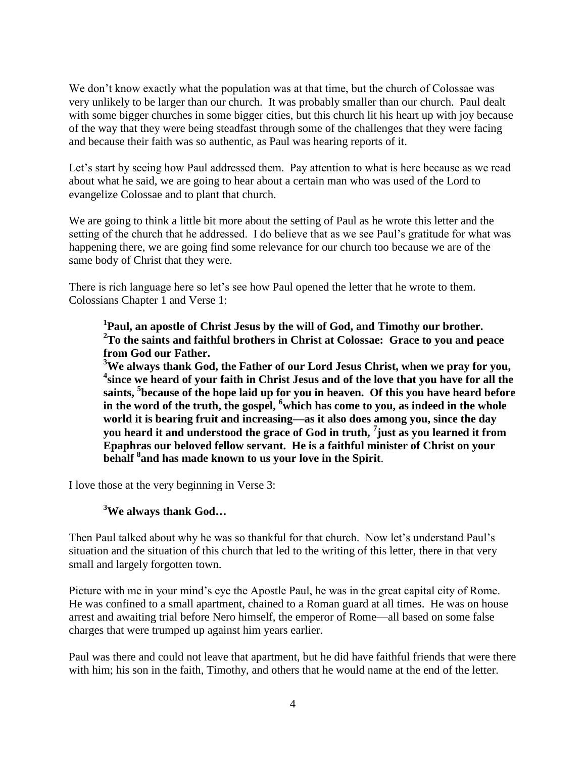We don't know exactly what the population was at that time, but the church of Colossae was very unlikely to be larger than our church. It was probably smaller than our church. Paul dealt with some bigger churches in some bigger cities, but this church lit his heart up with joy because of the way that they were being steadfast through some of the challenges that they were facing and because their faith was so authentic, as Paul was hearing reports of it.

Let's start by seeing how Paul addressed them. Pay attention to what is here because as we read about what he said, we are going to hear about a certain man who was used of the Lord to evangelize Colossae and to plant that church.

We are going to think a little bit more about the setting of Paul as he wrote this letter and the setting of the church that he addressed. I do believe that as we see Paul's gratitude for what was happening there, we are going find some relevance for our church too because we are of the same body of Christ that they were.

There is rich language here so let's see how Paul opened the letter that he wrote to them. Colossians Chapter 1 and Verse 1:

**1 Paul, an apostle of Christ Jesus by the will of God, and Timothy our brother. <sup>2</sup>To the saints and faithful brothers in Christ at Colossae: Grace to you and peace from God our Father.**

**<sup>3</sup>We always thank God, the Father of our Lord Jesus Christ, when we pray for you, 4 since we heard of your faith in Christ Jesus and of the love that you have for all the saints, <sup>5</sup> because of the hope laid up for you in heaven. Of this you have heard before in the word of the truth, the gospel, <sup>6</sup>which has come to you, as indeed in the whole world it is bearing fruit and increasing—as it also does among you, since the day you heard it and understood the grace of God in truth, <sup>7</sup> just as you learned it from Epaphras our beloved fellow servant. He is a faithful minister of Christ on your behalf <sup>8</sup> and has made known to us your love in the Spirit**.

I love those at the very beginning in Verse 3:

## **<sup>3</sup>We always thank God…**

Then Paul talked about why he was so thankful for that church. Now let's understand Paul's situation and the situation of this church that led to the writing of this letter, there in that very small and largely forgotten town.

Picture with me in your mind's eye the Apostle Paul, he was in the great capital city of Rome. He was confined to a small apartment, chained to a Roman guard at all times. He was on house arrest and awaiting trial before Nero himself, the emperor of Rome—all based on some false charges that were trumped up against him years earlier.

Paul was there and could not leave that apartment, but he did have faithful friends that were there with him; his son in the faith, Timothy, and others that he would name at the end of the letter.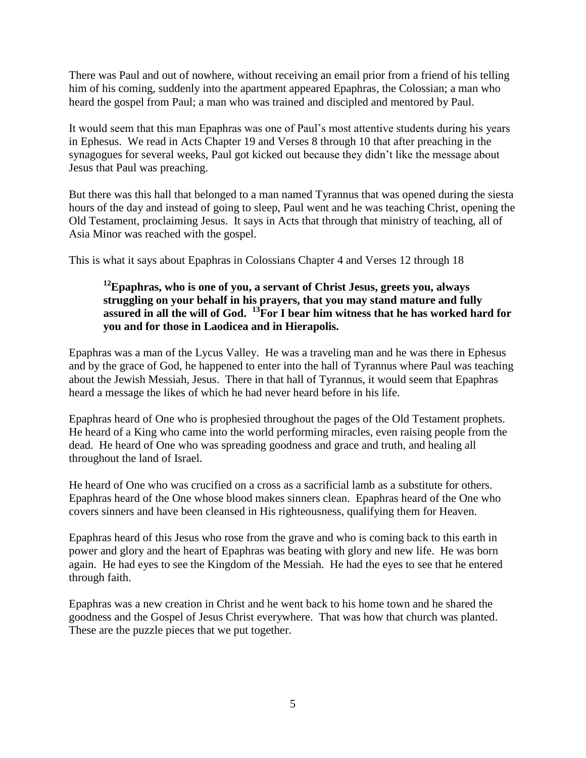There was Paul and out of nowhere, without receiving an email prior from a friend of his telling him of his coming, suddenly into the apartment appeared Epaphras, the Colossian; a man who heard the gospel from Paul; a man who was trained and discipled and mentored by Paul.

It would seem that this man Epaphras was one of Paul's most attentive students during his years in Ephesus. We read in Acts Chapter 19 and Verses 8 through 10 that after preaching in the synagogues for several weeks, Paul got kicked out because they didn't like the message about Jesus that Paul was preaching.

But there was this hall that belonged to a man named Tyrannus that was opened during the siesta hours of the day and instead of going to sleep, Paul went and he was teaching Christ, opening the Old Testament, proclaiming Jesus. It says in Acts that through that ministry of teaching, all of Asia Minor was reached with the gospel.

This is what it says about Epaphras in Colossians Chapter 4 and Verses 12 through 18

## **<sup>12</sup>Epaphras, who is one of you, a servant of Christ Jesus, greets you, always struggling on your behalf in his prayers, that you may stand mature and fully assured in all the will of God. <sup>13</sup>For I bear him witness that he has worked hard for you and for those in Laodicea and in Hierapolis.**

Epaphras was a man of the Lycus Valley. He was a traveling man and he was there in Ephesus and by the grace of God, he happened to enter into the hall of Tyrannus where Paul was teaching about the Jewish Messiah, Jesus. There in that hall of Tyrannus, it would seem that Epaphras heard a message the likes of which he had never heard before in his life.

Epaphras heard of One who is prophesied throughout the pages of the Old Testament prophets. He heard of a King who came into the world performing miracles, even raising people from the dead. He heard of One who was spreading goodness and grace and truth, and healing all throughout the land of Israel.

He heard of One who was crucified on a cross as a sacrificial lamb as a substitute for others. Epaphras heard of the One whose blood makes sinners clean. Epaphras heard of the One who covers sinners and have been cleansed in His righteousness, qualifying them for Heaven.

Epaphras heard of this Jesus who rose from the grave and who is coming back to this earth in power and glory and the heart of Epaphras was beating with glory and new life. He was born again. He had eyes to see the Kingdom of the Messiah. He had the eyes to see that he entered through faith.

Epaphras was a new creation in Christ and he went back to his home town and he shared the goodness and the Gospel of Jesus Christ everywhere. That was how that church was planted. These are the puzzle pieces that we put together.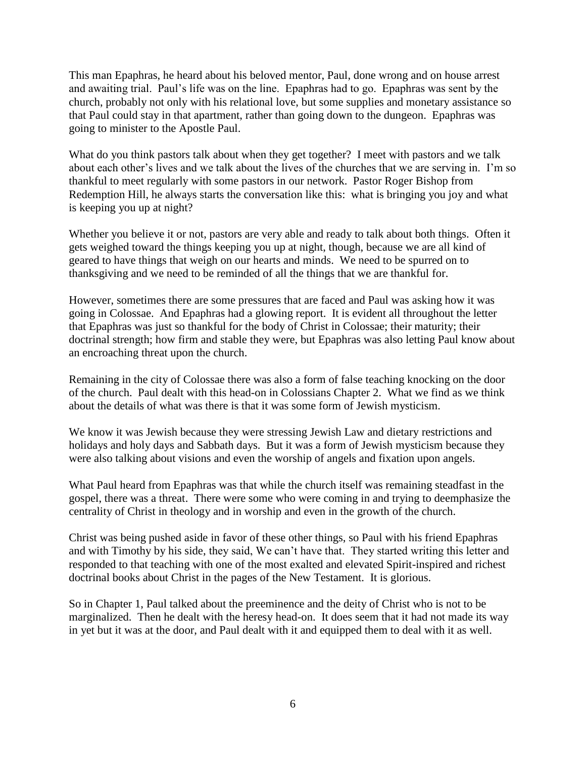This man Epaphras, he heard about his beloved mentor, Paul, done wrong and on house arrest and awaiting trial. Paul's life was on the line. Epaphras had to go. Epaphras was sent by the church, probably not only with his relational love, but some supplies and monetary assistance so that Paul could stay in that apartment, rather than going down to the dungeon. Epaphras was going to minister to the Apostle Paul.

What do you think pastors talk about when they get together? I meet with pastors and we talk about each other's lives and we talk about the lives of the churches that we are serving in. I'm so thankful to meet regularly with some pastors in our network. Pastor Roger Bishop from Redemption Hill, he always starts the conversation like this: what is bringing you joy and what is keeping you up at night?

Whether you believe it or not, pastors are very able and ready to talk about both things. Often it gets weighed toward the things keeping you up at night, though, because we are all kind of geared to have things that weigh on our hearts and minds. We need to be spurred on to thanksgiving and we need to be reminded of all the things that we are thankful for.

However, sometimes there are some pressures that are faced and Paul was asking how it was going in Colossae. And Epaphras had a glowing report. It is evident all throughout the letter that Epaphras was just so thankful for the body of Christ in Colossae; their maturity; their doctrinal strength; how firm and stable they were, but Epaphras was also letting Paul know about an encroaching threat upon the church.

Remaining in the city of Colossae there was also a form of false teaching knocking on the door of the church. Paul dealt with this head-on in Colossians Chapter 2. What we find as we think about the details of what was there is that it was some form of Jewish mysticism.

We know it was Jewish because they were stressing Jewish Law and dietary restrictions and holidays and holy days and Sabbath days. But it was a form of Jewish mysticism because they were also talking about visions and even the worship of angels and fixation upon angels.

What Paul heard from Epaphras was that while the church itself was remaining steadfast in the gospel, there was a threat. There were some who were coming in and trying to deemphasize the centrality of Christ in theology and in worship and even in the growth of the church.

Christ was being pushed aside in favor of these other things, so Paul with his friend Epaphras and with Timothy by his side, they said, We can't have that. They started writing this letter and responded to that teaching with one of the most exalted and elevated Spirit-inspired and richest doctrinal books about Christ in the pages of the New Testament. It is glorious.

So in Chapter 1, Paul talked about the preeminence and the deity of Christ who is not to be marginalized. Then he dealt with the heresy head-on. It does seem that it had not made its way in yet but it was at the door, and Paul dealt with it and equipped them to deal with it as well.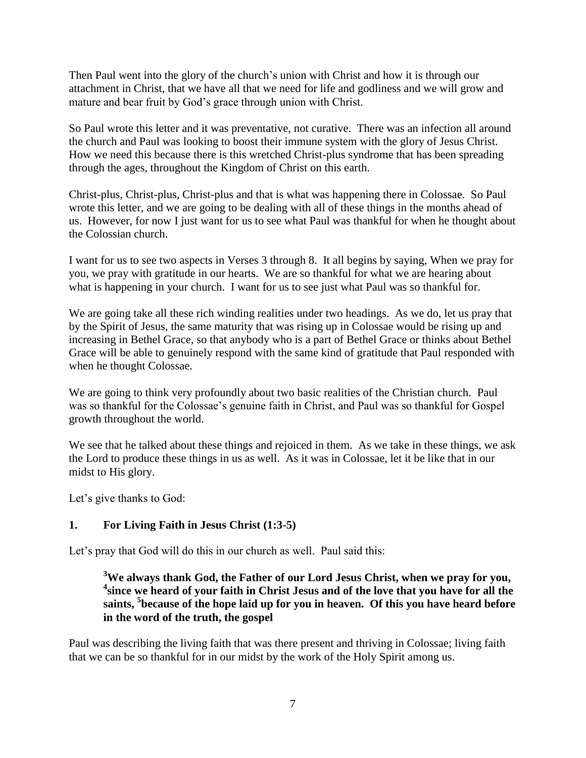Then Paul went into the glory of the church's union with Christ and how it is through our attachment in Christ, that we have all that we need for life and godliness and we will grow and mature and bear fruit by God's grace through union with Christ.

So Paul wrote this letter and it was preventative, not curative. There was an infection all around the church and Paul was looking to boost their immune system with the glory of Jesus Christ. How we need this because there is this wretched Christ-plus syndrome that has been spreading through the ages, throughout the Kingdom of Christ on this earth.

Christ-plus, Christ-plus, Christ-plus and that is what was happening there in Colossae. So Paul wrote this letter, and we are going to be dealing with all of these things in the months ahead of us. However, for now I just want for us to see what Paul was thankful for when he thought about the Colossian church.

I want for us to see two aspects in Verses 3 through 8. It all begins by saying, When we pray for you, we pray with gratitude in our hearts. We are so thankful for what we are hearing about what is happening in your church. I want for us to see just what Paul was so thankful for.

We are going take all these rich winding realities under two headings. As we do, let us pray that by the Spirit of Jesus, the same maturity that was rising up in Colossae would be rising up and increasing in Bethel Grace, so that anybody who is a part of Bethel Grace or thinks about Bethel Grace will be able to genuinely respond with the same kind of gratitude that Paul responded with when he thought Colossae.

We are going to think very profoundly about two basic realities of the Christian church. Paul was so thankful for the Colossae's genuine faith in Christ, and Paul was so thankful for Gospel growth throughout the world.

We see that he talked about these things and rejoiced in them. As we take in these things, we ask the Lord to produce these things in us as well. As it was in Colossae, let it be like that in our midst to His glory.

Let's give thanks to God:

## **1. For Living Faith in Jesus Christ (1:3-5)**

Let's pray that God will do this in our church as well. Paul said this:

## **<sup>3</sup>We always thank God, the Father of our Lord Jesus Christ, when we pray for you, 4 since we heard of your faith in Christ Jesus and of the love that you have for all the saints, <sup>5</sup> because of the hope laid up for you in heaven. Of this you have heard before in the word of the truth, the gospel**

Paul was describing the living faith that was there present and thriving in Colossae; living faith that we can be so thankful for in our midst by the work of the Holy Spirit among us.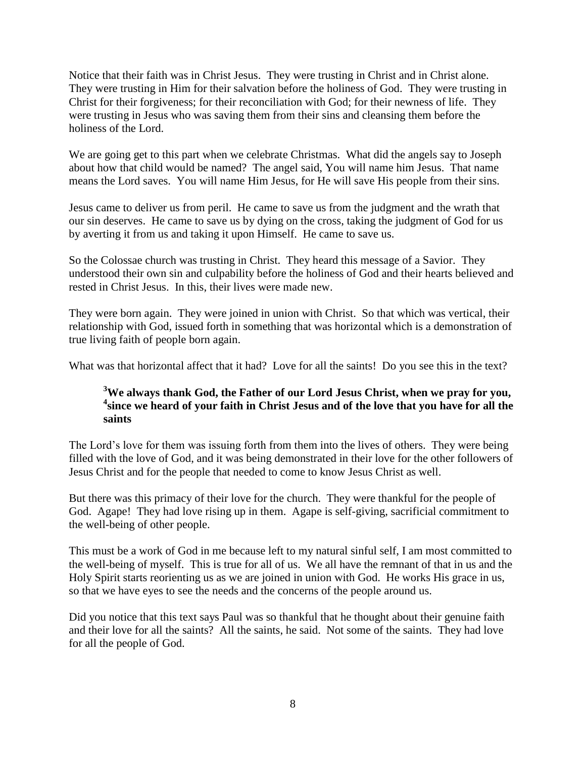Notice that their faith was in Christ Jesus. They were trusting in Christ and in Christ alone. They were trusting in Him for their salvation before the holiness of God. They were trusting in Christ for their forgiveness; for their reconciliation with God; for their newness of life. They were trusting in Jesus who was saving them from their sins and cleansing them before the holiness of the Lord.

We are going get to this part when we celebrate Christmas. What did the angels say to Joseph about how that child would be named? The angel said, You will name him Jesus. That name means the Lord saves. You will name Him Jesus, for He will save His people from their sins.

Jesus came to deliver us from peril. He came to save us from the judgment and the wrath that our sin deserves. He came to save us by dying on the cross, taking the judgment of God for us by averting it from us and taking it upon Himself. He came to save us.

So the Colossae church was trusting in Christ. They heard this message of a Savior. They understood their own sin and culpability before the holiness of God and their hearts believed and rested in Christ Jesus. In this, their lives were made new.

They were born again. They were joined in union with Christ. So that which was vertical, their relationship with God, issued forth in something that was horizontal which is a demonstration of true living faith of people born again.

What was that horizontal affect that it had? Love for all the saints! Do you see this in the text?

# **<sup>3</sup>We always thank God, the Father of our Lord Jesus Christ, when we pray for you,**  <sup>4</sup> since we heard of your faith in Christ Jesus and of the love that you have for all the **saints**

The Lord's love for them was issuing forth from them into the lives of others. They were being filled with the love of God, and it was being demonstrated in their love for the other followers of Jesus Christ and for the people that needed to come to know Jesus Christ as well.

But there was this primacy of their love for the church. They were thankful for the people of God. Agape! They had love rising up in them. Agape is self-giving, sacrificial commitment to the well-being of other people.

This must be a work of God in me because left to my natural sinful self, I am most committed to the well-being of myself. This is true for all of us. We all have the remnant of that in us and the Holy Spirit starts reorienting us as we are joined in union with God. He works His grace in us, so that we have eyes to see the needs and the concerns of the people around us.

Did you notice that this text says Paul was so thankful that he thought about their genuine faith and their love for all the saints? All the saints, he said. Not some of the saints. They had love for all the people of God.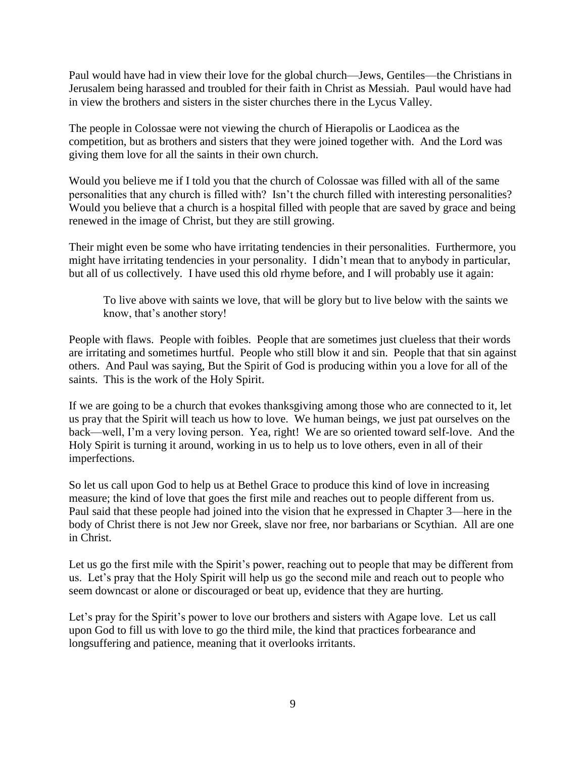Paul would have had in view their love for the global church—Jews, Gentiles—the Christians in Jerusalem being harassed and troubled for their faith in Christ as Messiah. Paul would have had in view the brothers and sisters in the sister churches there in the Lycus Valley.

The people in Colossae were not viewing the church of Hierapolis or Laodicea as the competition, but as brothers and sisters that they were joined together with. And the Lord was giving them love for all the saints in their own church.

Would you believe me if I told you that the church of Colossae was filled with all of the same personalities that any church is filled with? Isn't the church filled with interesting personalities? Would you believe that a church is a hospital filled with people that are saved by grace and being renewed in the image of Christ, but they are still growing.

Their might even be some who have irritating tendencies in their personalities. Furthermore, you might have irritating tendencies in your personality. I didn't mean that to anybody in particular, but all of us collectively. I have used this old rhyme before, and I will probably use it again:

To live above with saints we love, that will be glory but to live below with the saints we know, that's another story!

People with flaws. People with foibles. People that are sometimes just clueless that their words are irritating and sometimes hurtful. People who still blow it and sin. People that that sin against others. And Paul was saying, But the Spirit of God is producing within you a love for all of the saints. This is the work of the Holy Spirit.

If we are going to be a church that evokes thanksgiving among those who are connected to it, let us pray that the Spirit will teach us how to love. We human beings, we just pat ourselves on the back—well, I'm a very loving person. Yea, right! We are so oriented toward self-love. And the Holy Spirit is turning it around, working in us to help us to love others, even in all of their imperfections.

So let us call upon God to help us at Bethel Grace to produce this kind of love in increasing measure; the kind of love that goes the first mile and reaches out to people different from us. Paul said that these people had joined into the vision that he expressed in Chapter 3—here in the body of Christ there is not Jew nor Greek, slave nor free, nor barbarians or Scythian. All are one in Christ.

Let us go the first mile with the Spirit's power, reaching out to people that may be different from us. Let's pray that the Holy Spirit will help us go the second mile and reach out to people who seem downcast or alone or discouraged or beat up, evidence that they are hurting.

Let's pray for the Spirit's power to love our brothers and sisters with Agape love. Let us call upon God to fill us with love to go the third mile, the kind that practices forbearance and longsuffering and patience, meaning that it overlooks irritants.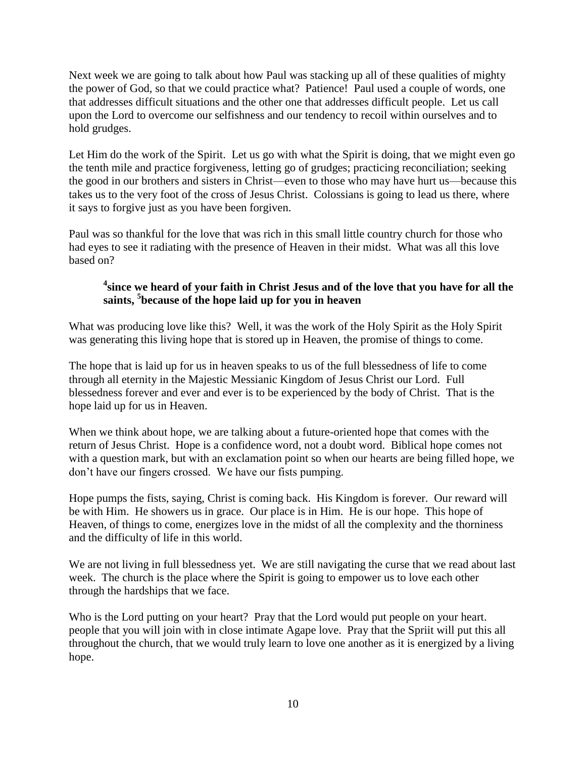Next week we are going to talk about how Paul was stacking up all of these qualities of mighty the power of God, so that we could practice what? Patience! Paul used a couple of words, one that addresses difficult situations and the other one that addresses difficult people. Let us call upon the Lord to overcome our selfishness and our tendency to recoil within ourselves and to hold grudges.

Let Him do the work of the Spirit. Let us go with what the Spirit is doing, that we might even go the tenth mile and practice forgiveness, letting go of grudges; practicing reconciliation; seeking the good in our brothers and sisters in Christ—even to those who may have hurt us—because this takes us to the very foot of the cross of Jesus Christ. Colossians is going to lead us there, where it says to forgive just as you have been forgiven.

Paul was so thankful for the love that was rich in this small little country church for those who had eyes to see it radiating with the presence of Heaven in their midst. What was all this love based on?

# **4 since we heard of your faith in Christ Jesus and of the love that you have for all the saints, <sup>5</sup> because of the hope laid up for you in heaven**

What was producing love like this? Well, it was the work of the Holy Spirit as the Holy Spirit was generating this living hope that is stored up in Heaven, the promise of things to come.

The hope that is laid up for us in heaven speaks to us of the full blessedness of life to come through all eternity in the Majestic Messianic Kingdom of Jesus Christ our Lord. Full blessedness forever and ever and ever is to be experienced by the body of Christ. That is the hope laid up for us in Heaven.

When we think about hope, we are talking about a future-oriented hope that comes with the return of Jesus Christ. Hope is a confidence word, not a doubt word. Biblical hope comes not with a question mark, but with an exclamation point so when our hearts are being filled hope, we don't have our fingers crossed. We have our fists pumping.

Hope pumps the fists, saying, Christ is coming back. His Kingdom is forever. Our reward will be with Him. He showers us in grace. Our place is in Him. He is our hope. This hope of Heaven, of things to come, energizes love in the midst of all the complexity and the thorniness and the difficulty of life in this world.

We are not living in full blessedness yet. We are still navigating the curse that we read about last week. The church is the place where the Spirit is going to empower us to love each other through the hardships that we face.

Who is the Lord putting on your heart? Pray that the Lord would put people on your heart. people that you will join with in close intimate Agape love. Pray that the Spriit will put this all throughout the church, that we would truly learn to love one another as it is energized by a living hope.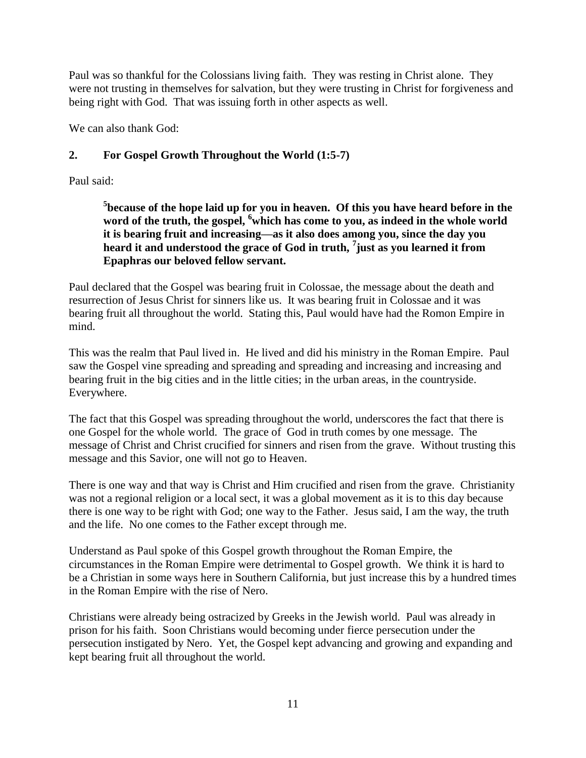Paul was so thankful for the Colossians living faith. They was resting in Christ alone. They were not trusting in themselves for salvation, but they were trusting in Christ for forgiveness and being right with God. That was issuing forth in other aspects as well.

We can also thank God:

# **2. For Gospel Growth Throughout the World (1:5-7)**

Paul said:

**5 because of the hope laid up for you in heaven. Of this you have heard before in the**  word of the truth, the gospel, <sup>6</sup>which has come to you, as indeed in the whole world **it is bearing fruit and increasing—as it also does among you, since the day you heard it and understood the grace of God in truth, <sup>7</sup> just as you learned it from Epaphras our beloved fellow servant.** 

Paul declared that the Gospel was bearing fruit in Colossae, the message about the death and resurrection of Jesus Christ for sinners like us. It was bearing fruit in Colossae and it was bearing fruit all throughout the world. Stating this, Paul would have had the Romon Empire in mind.

This was the realm that Paul lived in. He lived and did his ministry in the Roman Empire. Paul saw the Gospel vine spreading and spreading and spreading and increasing and increasing and bearing fruit in the big cities and in the little cities; in the urban areas, in the countryside. Everywhere.

The fact that this Gospel was spreading throughout the world, underscores the fact that there is one Gospel for the whole world. The grace of God in truth comes by one message. The message of Christ and Christ crucified for sinners and risen from the grave. Without trusting this message and this Savior, one will not go to Heaven.

There is one way and that way is Christ and Him crucified and risen from the grave. Christianity was not a regional religion or a local sect, it was a global movement as it is to this day because there is one way to be right with God; one way to the Father. Jesus said, I am the way, the truth and the life. No one comes to the Father except through me.

Understand as Paul spoke of this Gospel growth throughout the Roman Empire, the circumstances in the Roman Empire were detrimental to Gospel growth. We think it is hard to be a Christian in some ways here in Southern California, but just increase this by a hundred times in the Roman Empire with the rise of Nero.

Christians were already being ostracized by Greeks in the Jewish world. Paul was already in prison for his faith. Soon Christians would becoming under fierce persecution under the persecution instigated by Nero. Yet, the Gospel kept advancing and growing and expanding and kept bearing fruit all throughout the world.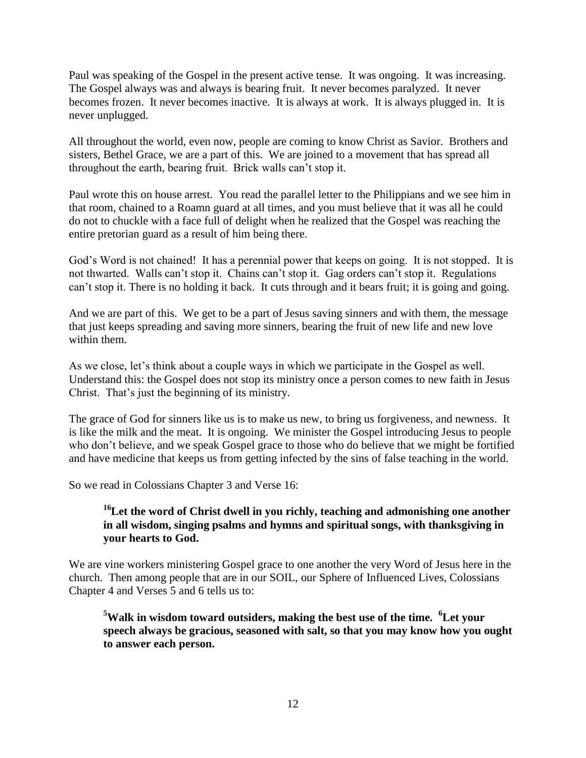Paul was speaking of the Gospel in the present active tense. It was ongoing. It was increasing. The Gospel always was and always is bearing fruit. It never becomes paralyzed. It never becomes frozen. It never becomes inactive. It is always at work. It is always plugged in. It is never unplugged.

All throughout the world, even now, people are coming to know Christ as Savior. Brothers and sisters, Bethel Grace, we are a part of this. We are joined to a movement that has spread all throughout the earth, bearing fruit. Brick walls can't stop it.

Paul wrote this on house arrest. You read the parallel letter to the Philippians and we see him in that room, chained to a Roamn guard at all times, and you must believe that it was all he could do not to chuckle with a face full of delight when he realized that the Gospel was reaching the entire pretorian guard as a result of him being there.

God's Word is not chained! It has a perennial power that keeps on going. It is not stopped. It is not thwarted. Walls can't stop it. Chains can't stop it. Gag orders can't stop it. Regulations can't stop it. There is no holding it back. It cuts through and it bears fruit; it is going and going.

And we are part of this. We get to be a part of Jesus saving sinners and with them, the message that just keeps spreading and saving more sinners, bearing the fruit of new life and new love within them.

As we close, let's think about a couple ways in which we participate in the Gospel as well. Understand this: the Gospel does not stop its ministry once a person comes to new faith in Jesus Christ. That's just the beginning of its ministry.

The grace of God for sinners like us is to make us new, to bring us forgiveness, and newness. It is like the milk and the meat. It is ongoing. We minister the Gospel introducing Jesus to people who don't believe, and we speak Gospel grace to those who do believe that we might be fortified and have medicine that keeps us from getting infected by the sins of false teaching in the world.

So we read in Colossians Chapter 3 and Verse 16:

#### <sup>16</sup>Let the word of Christ dwell in you richly, teaching and admonishing one another **in all wisdom, singing psalms and hymns and spiritual songs, with thanksgiving in your hearts to God.**

We are vine workers ministering Gospel grace to one another the very Word of Jesus here in the church. Then among people that are in our SOIL, our Sphere of Influenced Lives, Colossians Chapter 4 and Verses 5 and 6 tells us to:

**<sup>5</sup>Walk in wisdom toward outsiders, making the best use of the time. <sup>6</sup>Let your speech always be gracious, seasoned with salt, so that you may know how you ought to answer each person.**